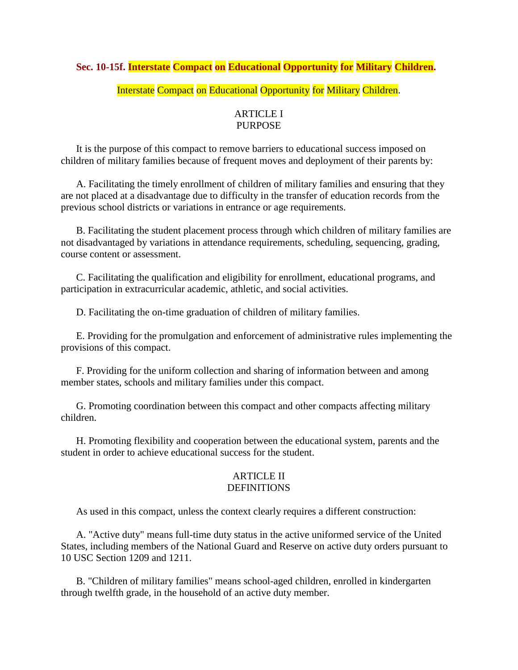# **Sec. 10-15f. Interstate Compact on Educational Opportunity for Military Children.**

# Interstate Compact on Educational Opportunity for Military Children.

# ARTICLE I PURPOSE

 It is the purpose of this compact to remove barriers to educational success imposed on children of military families because of frequent moves and deployment of their parents by:

 A. Facilitating the timely enrollment of children of military families and ensuring that they are not placed at a disadvantage due to difficulty in the transfer of education records from the previous school districts or variations in entrance or age requirements.

 B. Facilitating the student placement process through which children of military families are not disadvantaged by variations in attendance requirements, scheduling, sequencing, grading, course content or assessment.

 C. Facilitating the qualification and eligibility for enrollment, educational programs, and participation in extracurricular academic, athletic, and social activities.

D. Facilitating the on-time graduation of children of military families.

 E. Providing for the promulgation and enforcement of administrative rules implementing the provisions of this compact.

 F. Providing for the uniform collection and sharing of information between and among member states, schools and military families under this compact.

 G. Promoting coordination between this compact and other compacts affecting military children.

 H. Promoting flexibility and cooperation between the educational system, parents and the student in order to achieve educational success for the student.

### ARTICLE II DEFINITIONS

As used in this compact, unless the context clearly requires a different construction:

 A. "Active duty" means full-time duty status in the active uniformed service of the United States, including members of the National Guard and Reserve on active duty orders pursuant to 10 USC Section 1209 and 1211.

 B. "Children of military families" means school-aged children, enrolled in kindergarten through twelfth grade, in the household of an active duty member.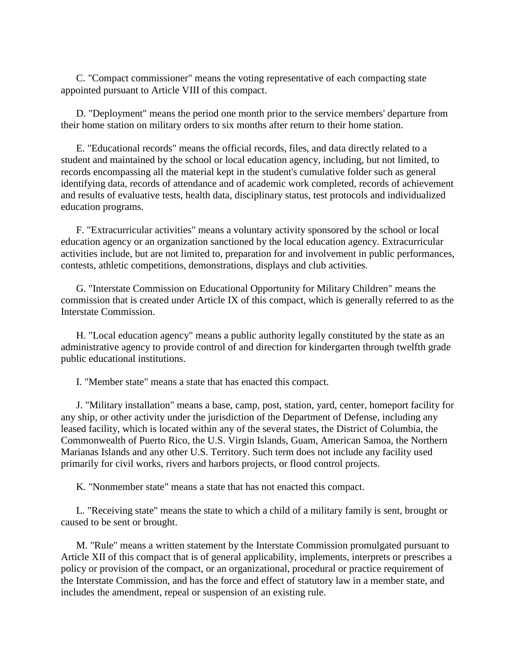C. "Compact commissioner" means the voting representative of each compacting state appointed pursuant to Article VIII of this compact.

 D. "Deployment" means the period one month prior to the service members' departure from their home station on military orders to six months after return to their home station.

 E. "Educational records" means the official records, files, and data directly related to a student and maintained by the school or local education agency, including, but not limited, to records encompassing all the material kept in the student's cumulative folder such as general identifying data, records of attendance and of academic work completed, records of achievement and results of evaluative tests, health data, disciplinary status, test protocols and individualized education programs.

 F. "Extracurricular activities" means a voluntary activity sponsored by the school or local education agency or an organization sanctioned by the local education agency. Extracurricular activities include, but are not limited to, preparation for and involvement in public performances, contests, athletic competitions, demonstrations, displays and club activities.

 G. "Interstate Commission on Educational Opportunity for Military Children" means the commission that is created under Article IX of this compact, which is generally referred to as the Interstate Commission.

 H. "Local education agency" means a public authority legally constituted by the state as an administrative agency to provide control of and direction for kindergarten through twelfth grade public educational institutions.

I. "Member state" means a state that has enacted this compact.

 J. "Military installation" means a base, camp, post, station, yard, center, homeport facility for any ship, or other activity under the jurisdiction of the Department of Defense, including any leased facility, which is located within any of the several states, the District of Columbia, the Commonwealth of Puerto Rico, the U.S. Virgin Islands, Guam, American Samoa, the Northern Marianas Islands and any other U.S. Territory. Such term does not include any facility used primarily for civil works, rivers and harbors projects, or flood control projects.

K. "Nonmember state" means a state that has not enacted this compact.

 L. "Receiving state" means the state to which a child of a military family is sent, brought or caused to be sent or brought.

 M. "Rule" means a written statement by the Interstate Commission promulgated pursuant to Article XII of this compact that is of general applicability, implements, interprets or prescribes a policy or provision of the compact, or an organizational, procedural or practice requirement of the Interstate Commission, and has the force and effect of statutory law in a member state, and includes the amendment, repeal or suspension of an existing rule.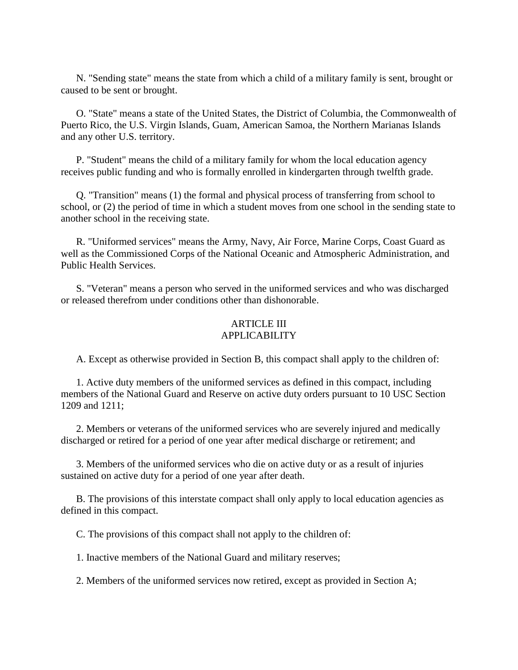N. "Sending state" means the state from which a child of a military family is sent, brought or caused to be sent or brought.

 O. "State" means a state of the United States, the District of Columbia, the Commonwealth of Puerto Rico, the U.S. Virgin Islands, Guam, American Samoa, the Northern Marianas Islands and any other U.S. territory.

 P. "Student" means the child of a military family for whom the local education agency receives public funding and who is formally enrolled in kindergarten through twelfth grade.

 Q. "Transition" means (1) the formal and physical process of transferring from school to school, or (2) the period of time in which a student moves from one school in the sending state to another school in the receiving state.

 R. "Uniformed services" means the Army, Navy, Air Force, Marine Corps, Coast Guard as well as the Commissioned Corps of the National Oceanic and Atmospheric Administration, and Public Health Services.

 S. "Veteran" means a person who served in the uniformed services and who was discharged or released therefrom under conditions other than dishonorable.

### ARTICLE III APPLICABILITY

A. Except as otherwise provided in Section B, this compact shall apply to the children of:

 1. Active duty members of the uniformed services as defined in this compact, including members of the National Guard and Reserve on active duty orders pursuant to 10 USC Section 1209 and 1211;

 2. Members or veterans of the uniformed services who are severely injured and medically discharged or retired for a period of one year after medical discharge or retirement; and

 3. Members of the uniformed services who die on active duty or as a result of injuries sustained on active duty for a period of one year after death.

 B. The provisions of this interstate compact shall only apply to local education agencies as defined in this compact.

C. The provisions of this compact shall not apply to the children of:

1. Inactive members of the National Guard and military reserves;

2. Members of the uniformed services now retired, except as provided in Section A;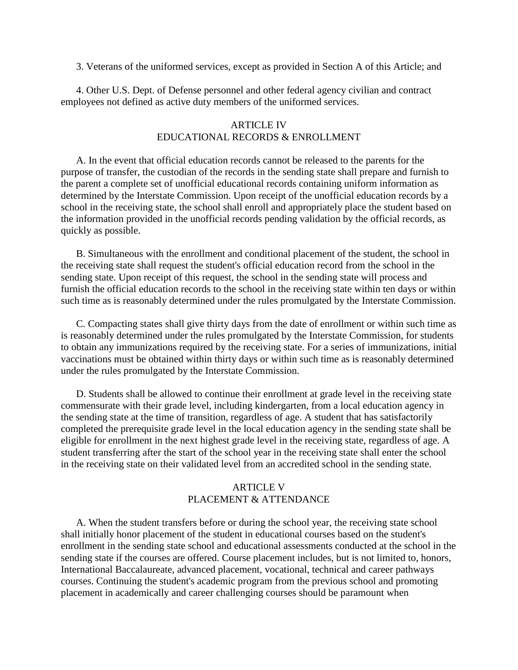3. Veterans of the uniformed services, except as provided in Section A of this Article; and

 4. Other U.S. Dept. of Defense personnel and other federal agency civilian and contract employees not defined as active duty members of the uniformed services.

### ARTICLE IV EDUCATIONAL RECORDS & ENROLLMENT

 A. In the event that official education records cannot be released to the parents for the purpose of transfer, the custodian of the records in the sending state shall prepare and furnish to the parent a complete set of unofficial educational records containing uniform information as determined by the Interstate Commission. Upon receipt of the unofficial education records by a school in the receiving state, the school shall enroll and appropriately place the student based on the information provided in the unofficial records pending validation by the official records, as quickly as possible.

 B. Simultaneous with the enrollment and conditional placement of the student, the school in the receiving state shall request the student's official education record from the school in the sending state. Upon receipt of this request, the school in the sending state will process and furnish the official education records to the school in the receiving state within ten days or within such time as is reasonably determined under the rules promulgated by the Interstate Commission.

 C. Compacting states shall give thirty days from the date of enrollment or within such time as is reasonably determined under the rules promulgated by the Interstate Commission, for students to obtain any immunizations required by the receiving state. For a series of immunizations, initial vaccinations must be obtained within thirty days or within such time as is reasonably determined under the rules promulgated by the Interstate Commission.

 D. Students shall be allowed to continue their enrollment at grade level in the receiving state commensurate with their grade level, including kindergarten, from a local education agency in the sending state at the time of transition, regardless of age. A student that has satisfactorily completed the prerequisite grade level in the local education agency in the sending state shall be eligible for enrollment in the next highest grade level in the receiving state, regardless of age. A student transferring after the start of the school year in the receiving state shall enter the school in the receiving state on their validated level from an accredited school in the sending state.

# ARTICLE V PLACEMENT & ATTENDANCE

 A. When the student transfers before or during the school year, the receiving state school shall initially honor placement of the student in educational courses based on the student's enrollment in the sending state school and educational assessments conducted at the school in the sending state if the courses are offered. Course placement includes, but is not limited to, honors, International Baccalaureate, advanced placement, vocational, technical and career pathways courses. Continuing the student's academic program from the previous school and promoting placement in academically and career challenging courses should be paramount when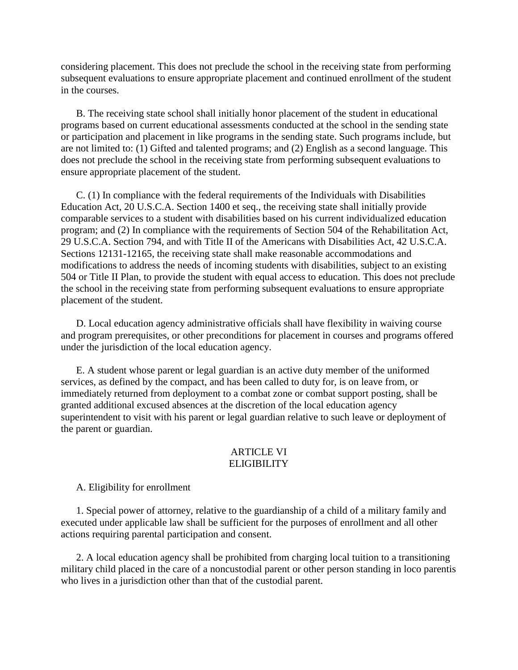considering placement. This does not preclude the school in the receiving state from performing subsequent evaluations to ensure appropriate placement and continued enrollment of the student in the courses.

 B. The receiving state school shall initially honor placement of the student in educational programs based on current educational assessments conducted at the school in the sending state or participation and placement in like programs in the sending state. Such programs include, but are not limited to: (1) Gifted and talented programs; and (2) English as a second language. This does not preclude the school in the receiving state from performing subsequent evaluations to ensure appropriate placement of the student.

 C. (1) In compliance with the federal requirements of the Individuals with Disabilities Education Act, 20 U.S.C.A. Section 1400 et seq., the receiving state shall initially provide comparable services to a student with disabilities based on his current individualized education program; and (2) In compliance with the requirements of Section 504 of the Rehabilitation Act, 29 U.S.C.A. Section 794, and with Title II of the Americans with Disabilities Act, 42 U.S.C.A. Sections 12131-12165, the receiving state shall make reasonable accommodations and modifications to address the needs of incoming students with disabilities, subject to an existing 504 or Title II Plan, to provide the student with equal access to education. This does not preclude the school in the receiving state from performing subsequent evaluations to ensure appropriate placement of the student.

 D. Local education agency administrative officials shall have flexibility in waiving course and program prerequisites, or other preconditions for placement in courses and programs offered under the jurisdiction of the local education agency.

 E. A student whose parent or legal guardian is an active duty member of the uniformed services, as defined by the compact, and has been called to duty for, is on leave from, or immediately returned from deployment to a combat zone or combat support posting, shall be granted additional excused absences at the discretion of the local education agency superintendent to visit with his parent or legal guardian relative to such leave or deployment of the parent or guardian.

### ARTICLE VI **ELIGIBILITY**

### A. Eligibility for enrollment

 1. Special power of attorney, relative to the guardianship of a child of a military family and executed under applicable law shall be sufficient for the purposes of enrollment and all other actions requiring parental participation and consent.

 2. A local education agency shall be prohibited from charging local tuition to a transitioning military child placed in the care of a noncustodial parent or other person standing in loco parentis who lives in a jurisdiction other than that of the custodial parent.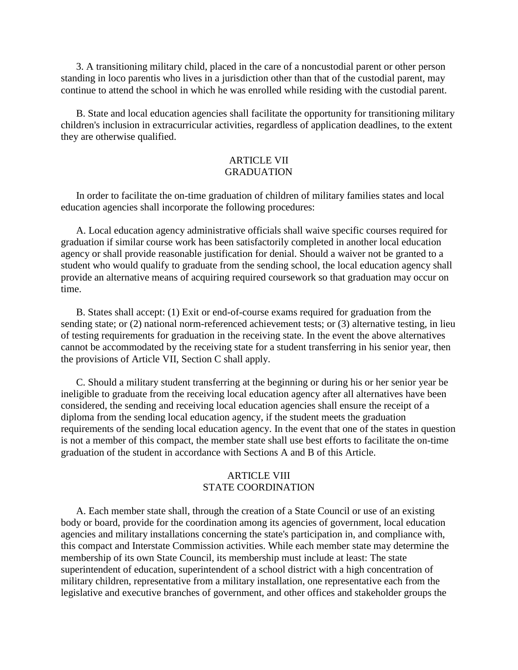3. A transitioning military child, placed in the care of a noncustodial parent or other person standing in loco parentis who lives in a jurisdiction other than that of the custodial parent, may continue to attend the school in which he was enrolled while residing with the custodial parent.

 B. State and local education agencies shall facilitate the opportunity for transitioning military children's inclusion in extracurricular activities, regardless of application deadlines, to the extent they are otherwise qualified.

# ARTICLE VII **GRADUATION**

 In order to facilitate the on-time graduation of children of military families states and local education agencies shall incorporate the following procedures:

 A. Local education agency administrative officials shall waive specific courses required for graduation if similar course work has been satisfactorily completed in another local education agency or shall provide reasonable justification for denial. Should a waiver not be granted to a student who would qualify to graduate from the sending school, the local education agency shall provide an alternative means of acquiring required coursework so that graduation may occur on time.

 B. States shall accept: (1) Exit or end-of-course exams required for graduation from the sending state; or (2) national norm-referenced achievement tests; or (3) alternative testing, in lieu of testing requirements for graduation in the receiving state. In the event the above alternatives cannot be accommodated by the receiving state for a student transferring in his senior year, then the provisions of Article VII, Section C shall apply.

 C. Should a military student transferring at the beginning or during his or her senior year be ineligible to graduate from the receiving local education agency after all alternatives have been considered, the sending and receiving local education agencies shall ensure the receipt of a diploma from the sending local education agency, if the student meets the graduation requirements of the sending local education agency. In the event that one of the states in question is not a member of this compact, the member state shall use best efforts to facilitate the on-time graduation of the student in accordance with Sections A and B of this Article.

# ARTICLE VIII STATE COORDINATION

 A. Each member state shall, through the creation of a State Council or use of an existing body or board, provide for the coordination among its agencies of government, local education agencies and military installations concerning the state's participation in, and compliance with, this compact and Interstate Commission activities. While each member state may determine the membership of its own State Council, its membership must include at least: The state superintendent of education, superintendent of a school district with a high concentration of military children, representative from a military installation, one representative each from the legislative and executive branches of government, and other offices and stakeholder groups the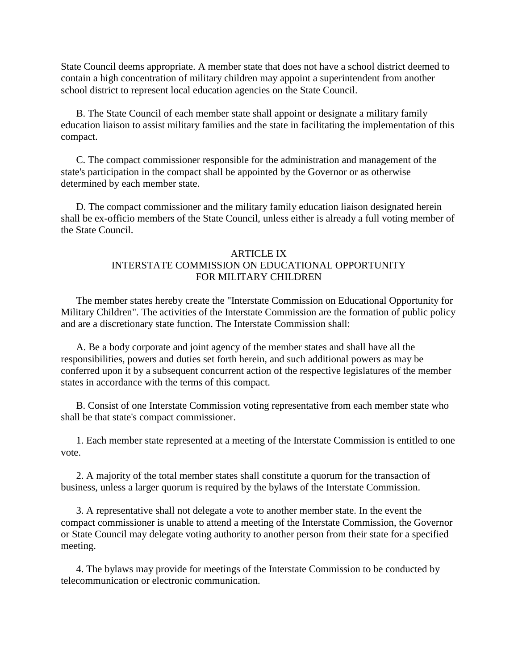State Council deems appropriate. A member state that does not have a school district deemed to contain a high concentration of military children may appoint a superintendent from another school district to represent local education agencies on the State Council.

 B. The State Council of each member state shall appoint or designate a military family education liaison to assist military families and the state in facilitating the implementation of this compact.

 C. The compact commissioner responsible for the administration and management of the state's participation in the compact shall be appointed by the Governor or as otherwise determined by each member state.

 D. The compact commissioner and the military family education liaison designated herein shall be ex-officio members of the State Council, unless either is already a full voting member of the State Council.

# ARTICLE IX INTERSTATE COMMISSION ON EDUCATIONAL OPPORTUNITY FOR MILITARY CHILDREN

 The member states hereby create the "Interstate Commission on Educational Opportunity for Military Children". The activities of the Interstate Commission are the formation of public policy and are a discretionary state function. The Interstate Commission shall:

 A. Be a body corporate and joint agency of the member states and shall have all the responsibilities, powers and duties set forth herein, and such additional powers as may be conferred upon it by a subsequent concurrent action of the respective legislatures of the member states in accordance with the terms of this compact.

 B. Consist of one Interstate Commission voting representative from each member state who shall be that state's compact commissioner.

 1. Each member state represented at a meeting of the Interstate Commission is entitled to one vote.

 2. A majority of the total member states shall constitute a quorum for the transaction of business, unless a larger quorum is required by the bylaws of the Interstate Commission.

 3. A representative shall not delegate a vote to another member state. In the event the compact commissioner is unable to attend a meeting of the Interstate Commission, the Governor or State Council may delegate voting authority to another person from their state for a specified meeting.

 4. The bylaws may provide for meetings of the Interstate Commission to be conducted by telecommunication or electronic communication.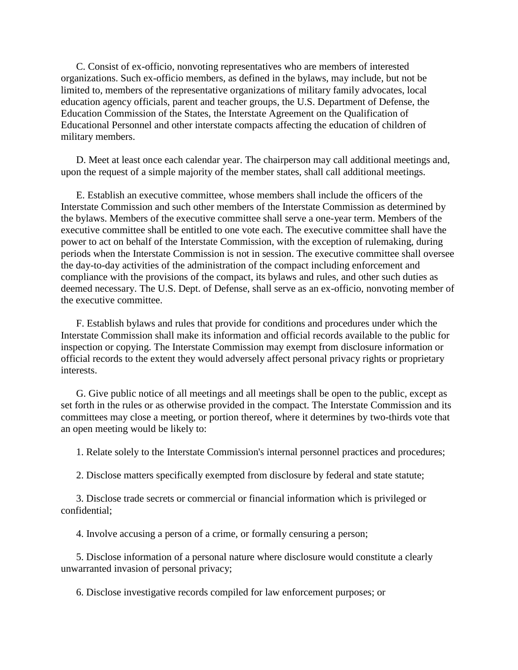C. Consist of ex-officio, nonvoting representatives who are members of interested organizations. Such ex-officio members, as defined in the bylaws, may include, but not be limited to, members of the representative organizations of military family advocates, local education agency officials, parent and teacher groups, the U.S. Department of Defense, the Education Commission of the States, the Interstate Agreement on the Qualification of Educational Personnel and other interstate compacts affecting the education of children of military members.

 D. Meet at least once each calendar year. The chairperson may call additional meetings and, upon the request of a simple majority of the member states, shall call additional meetings.

 E. Establish an executive committee, whose members shall include the officers of the Interstate Commission and such other members of the Interstate Commission as determined by the bylaws. Members of the executive committee shall serve a one-year term. Members of the executive committee shall be entitled to one vote each. The executive committee shall have the power to act on behalf of the Interstate Commission, with the exception of rulemaking, during periods when the Interstate Commission is not in session. The executive committee shall oversee the day-to-day activities of the administration of the compact including enforcement and compliance with the provisions of the compact, its bylaws and rules, and other such duties as deemed necessary. The U.S. Dept. of Defense, shall serve as an ex-officio, nonvoting member of the executive committee.

 F. Establish bylaws and rules that provide for conditions and procedures under which the Interstate Commission shall make its information and official records available to the public for inspection or copying. The Interstate Commission may exempt from disclosure information or official records to the extent they would adversely affect personal privacy rights or proprietary interests.

 G. Give public notice of all meetings and all meetings shall be open to the public, except as set forth in the rules or as otherwise provided in the compact. The Interstate Commission and its committees may close a meeting, or portion thereof, where it determines by two-thirds vote that an open meeting would be likely to:

1. Relate solely to the Interstate Commission's internal personnel practices and procedures;

2. Disclose matters specifically exempted from disclosure by federal and state statute;

 3. Disclose trade secrets or commercial or financial information which is privileged or confidential;

4. Involve accusing a person of a crime, or formally censuring a person;

 5. Disclose information of a personal nature where disclosure would constitute a clearly unwarranted invasion of personal privacy;

6. Disclose investigative records compiled for law enforcement purposes; or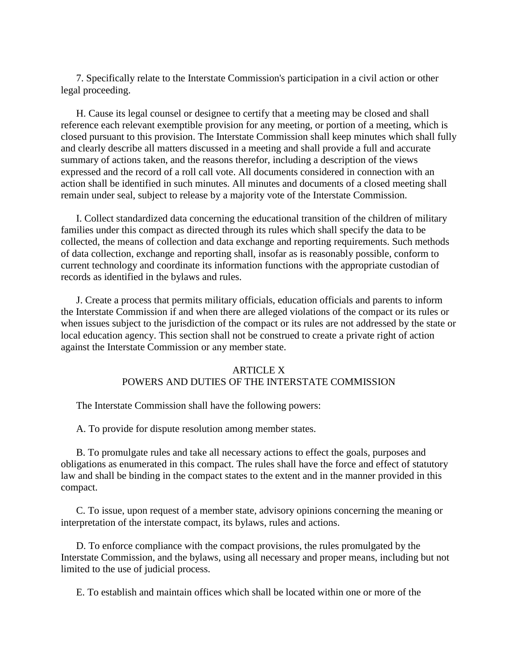7. Specifically relate to the Interstate Commission's participation in a civil action or other legal proceeding.

 H. Cause its legal counsel or designee to certify that a meeting may be closed and shall reference each relevant exemptible provision for any meeting, or portion of a meeting, which is closed pursuant to this provision. The Interstate Commission shall keep minutes which shall fully and clearly describe all matters discussed in a meeting and shall provide a full and accurate summary of actions taken, and the reasons therefor, including a description of the views expressed and the record of a roll call vote. All documents considered in connection with an action shall be identified in such minutes. All minutes and documents of a closed meeting shall remain under seal, subject to release by a majority vote of the Interstate Commission.

 I. Collect standardized data concerning the educational transition of the children of military families under this compact as directed through its rules which shall specify the data to be collected, the means of collection and data exchange and reporting requirements. Such methods of data collection, exchange and reporting shall, insofar as is reasonably possible, conform to current technology and coordinate its information functions with the appropriate custodian of records as identified in the bylaws and rules.

 J. Create a process that permits military officials, education officials and parents to inform the Interstate Commission if and when there are alleged violations of the compact or its rules or when issues subject to the jurisdiction of the compact or its rules are not addressed by the state or local education agency. This section shall not be construed to create a private right of action against the Interstate Commission or any member state.

### ARTICLE X

# POWERS AND DUTIES OF THE INTERSTATE COMMISSION

The Interstate Commission shall have the following powers:

A. To provide for dispute resolution among member states.

 B. To promulgate rules and take all necessary actions to effect the goals, purposes and obligations as enumerated in this compact. The rules shall have the force and effect of statutory law and shall be binding in the compact states to the extent and in the manner provided in this compact.

 C. To issue, upon request of a member state, advisory opinions concerning the meaning or interpretation of the interstate compact, its bylaws, rules and actions.

 D. To enforce compliance with the compact provisions, the rules promulgated by the Interstate Commission, and the bylaws, using all necessary and proper means, including but not limited to the use of judicial process.

E. To establish and maintain offices which shall be located within one or more of the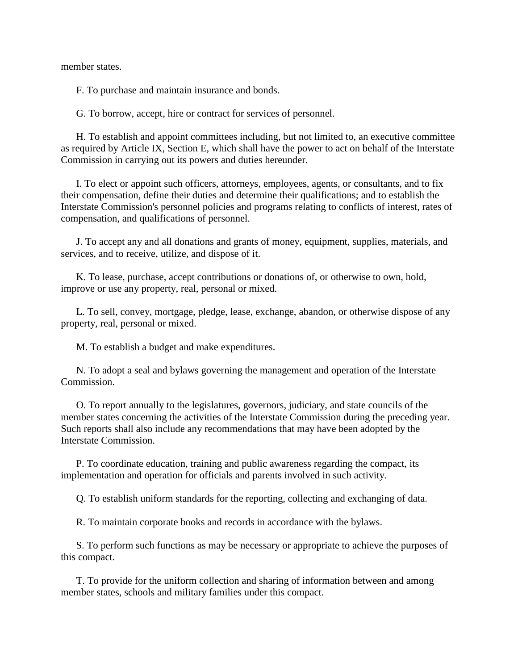member states.

F. To purchase and maintain insurance and bonds.

G. To borrow, accept, hire or contract for services of personnel.

 H. To establish and appoint committees including, but not limited to, an executive committee as required by Article IX, Section E, which shall have the power to act on behalf of the Interstate Commission in carrying out its powers and duties hereunder.

 I. To elect or appoint such officers, attorneys, employees, agents, or consultants, and to fix their compensation, define their duties and determine their qualifications; and to establish the Interstate Commission's personnel policies and programs relating to conflicts of interest, rates of compensation, and qualifications of personnel.

 J. To accept any and all donations and grants of money, equipment, supplies, materials, and services, and to receive, utilize, and dispose of it.

 K. To lease, purchase, accept contributions or donations of, or otherwise to own, hold, improve or use any property, real, personal or mixed.

 L. To sell, convey, mortgage, pledge, lease, exchange, abandon, or otherwise dispose of any property, real, personal or mixed.

M. To establish a budget and make expenditures.

 N. To adopt a seal and bylaws governing the management and operation of the Interstate Commission.

 O. To report annually to the legislatures, governors, judiciary, and state councils of the member states concerning the activities of the Interstate Commission during the preceding year. Such reports shall also include any recommendations that may have been adopted by the Interstate Commission.

 P. To coordinate education, training and public awareness regarding the compact, its implementation and operation for officials and parents involved in such activity.

Q. To establish uniform standards for the reporting, collecting and exchanging of data.

R. To maintain corporate books and records in accordance with the bylaws.

 S. To perform such functions as may be necessary or appropriate to achieve the purposes of this compact.

 T. To provide for the uniform collection and sharing of information between and among member states, schools and military families under this compact.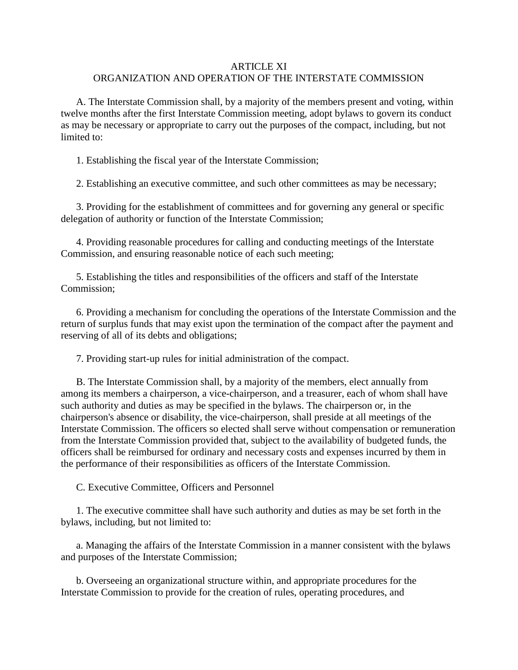# ARTICLE XI ORGANIZATION AND OPERATION OF THE INTERSTATE COMMISSION

 A. The Interstate Commission shall, by a majority of the members present and voting, within twelve months after the first Interstate Commission meeting, adopt bylaws to govern its conduct as may be necessary or appropriate to carry out the purposes of the compact, including, but not limited to:

1. Establishing the fiscal year of the Interstate Commission;

2. Establishing an executive committee, and such other committees as may be necessary;

 3. Providing for the establishment of committees and for governing any general or specific delegation of authority or function of the Interstate Commission;

 4. Providing reasonable procedures for calling and conducting meetings of the Interstate Commission, and ensuring reasonable notice of each such meeting;

 5. Establishing the titles and responsibilities of the officers and staff of the Interstate Commission;

 6. Providing a mechanism for concluding the operations of the Interstate Commission and the return of surplus funds that may exist upon the termination of the compact after the payment and reserving of all of its debts and obligations;

7. Providing start-up rules for initial administration of the compact.

 B. The Interstate Commission shall, by a majority of the members, elect annually from among its members a chairperson, a vice-chairperson, and a treasurer, each of whom shall have such authority and duties as may be specified in the bylaws. The chairperson or, in the chairperson's absence or disability, the vice-chairperson, shall preside at all meetings of the Interstate Commission. The officers so elected shall serve without compensation or remuneration from the Interstate Commission provided that, subject to the availability of budgeted funds, the officers shall be reimbursed for ordinary and necessary costs and expenses incurred by them in the performance of their responsibilities as officers of the Interstate Commission.

C. Executive Committee, Officers and Personnel

 1. The executive committee shall have such authority and duties as may be set forth in the bylaws, including, but not limited to:

 a. Managing the affairs of the Interstate Commission in a manner consistent with the bylaws and purposes of the Interstate Commission;

 b. Overseeing an organizational structure within, and appropriate procedures for the Interstate Commission to provide for the creation of rules, operating procedures, and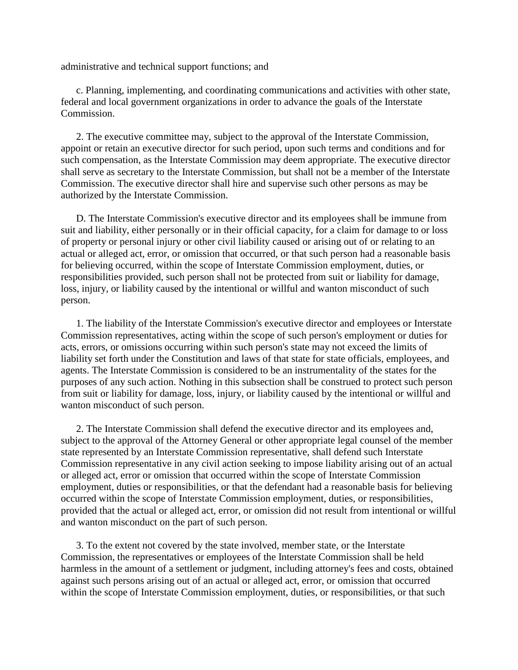administrative and technical support functions; and

 c. Planning, implementing, and coordinating communications and activities with other state, federal and local government organizations in order to advance the goals of the Interstate Commission.

 2. The executive committee may, subject to the approval of the Interstate Commission, appoint or retain an executive director for such period, upon such terms and conditions and for such compensation, as the Interstate Commission may deem appropriate. The executive director shall serve as secretary to the Interstate Commission, but shall not be a member of the Interstate Commission. The executive director shall hire and supervise such other persons as may be authorized by the Interstate Commission.

 D. The Interstate Commission's executive director and its employees shall be immune from suit and liability, either personally or in their official capacity, for a claim for damage to or loss of property or personal injury or other civil liability caused or arising out of or relating to an actual or alleged act, error, or omission that occurred, or that such person had a reasonable basis for believing occurred, within the scope of Interstate Commission employment, duties, or responsibilities provided, such person shall not be protected from suit or liability for damage, loss, injury, or liability caused by the intentional or willful and wanton misconduct of such person.

 1. The liability of the Interstate Commission's executive director and employees or Interstate Commission representatives, acting within the scope of such person's employment or duties for acts, errors, or omissions occurring within such person's state may not exceed the limits of liability set forth under the Constitution and laws of that state for state officials, employees, and agents. The Interstate Commission is considered to be an instrumentality of the states for the purposes of any such action. Nothing in this subsection shall be construed to protect such person from suit or liability for damage, loss, injury, or liability caused by the intentional or willful and wanton misconduct of such person.

 2. The Interstate Commission shall defend the executive director and its employees and, subject to the approval of the Attorney General or other appropriate legal counsel of the member state represented by an Interstate Commission representative, shall defend such Interstate Commission representative in any civil action seeking to impose liability arising out of an actual or alleged act, error or omission that occurred within the scope of Interstate Commission employment, duties or responsibilities, or that the defendant had a reasonable basis for believing occurred within the scope of Interstate Commission employment, duties, or responsibilities, provided that the actual or alleged act, error, or omission did not result from intentional or willful and wanton misconduct on the part of such person.

 3. To the extent not covered by the state involved, member state, or the Interstate Commission, the representatives or employees of the Interstate Commission shall be held harmless in the amount of a settlement or judgment, including attorney's fees and costs, obtained against such persons arising out of an actual or alleged act, error, or omission that occurred within the scope of Interstate Commission employment, duties, or responsibilities, or that such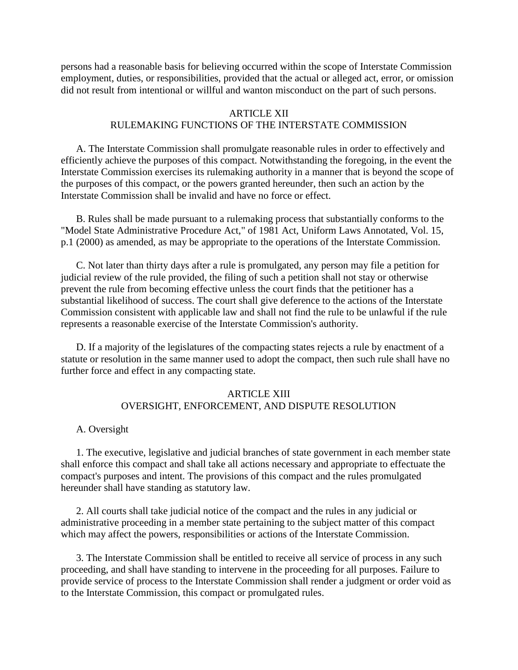persons had a reasonable basis for believing occurred within the scope of Interstate Commission employment, duties, or responsibilities, provided that the actual or alleged act, error, or omission did not result from intentional or willful and wanton misconduct on the part of such persons.

### ARTICLE XII RULEMAKING FUNCTIONS OF THE INTERSTATE COMMISSION

 A. The Interstate Commission shall promulgate reasonable rules in order to effectively and efficiently achieve the purposes of this compact. Notwithstanding the foregoing, in the event the Interstate Commission exercises its rulemaking authority in a manner that is beyond the scope of the purposes of this compact, or the powers granted hereunder, then such an action by the Interstate Commission shall be invalid and have no force or effect.

 B. Rules shall be made pursuant to a rulemaking process that substantially conforms to the "Model State Administrative Procedure Act," of 1981 Act, Uniform Laws Annotated, Vol. 15, p.1 (2000) as amended, as may be appropriate to the operations of the Interstate Commission.

 C. Not later than thirty days after a rule is promulgated, any person may file a petition for judicial review of the rule provided, the filing of such a petition shall not stay or otherwise prevent the rule from becoming effective unless the court finds that the petitioner has a substantial likelihood of success. The court shall give deference to the actions of the Interstate Commission consistent with applicable law and shall not find the rule to be unlawful if the rule represents a reasonable exercise of the Interstate Commission's authority.

 D. If a majority of the legislatures of the compacting states rejects a rule by enactment of a statute or resolution in the same manner used to adopt the compact, then such rule shall have no further force and effect in any compacting state.

# ARTICLE XIII OVERSIGHT, ENFORCEMENT, AND DISPUTE RESOLUTION

### A. Oversight

 1. The executive, legislative and judicial branches of state government in each member state shall enforce this compact and shall take all actions necessary and appropriate to effectuate the compact's purposes and intent. The provisions of this compact and the rules promulgated hereunder shall have standing as statutory law.

 2. All courts shall take judicial notice of the compact and the rules in any judicial or administrative proceeding in a member state pertaining to the subject matter of this compact which may affect the powers, responsibilities or actions of the Interstate Commission.

 3. The Interstate Commission shall be entitled to receive all service of process in any such proceeding, and shall have standing to intervene in the proceeding for all purposes. Failure to provide service of process to the Interstate Commission shall render a judgment or order void as to the Interstate Commission, this compact or promulgated rules.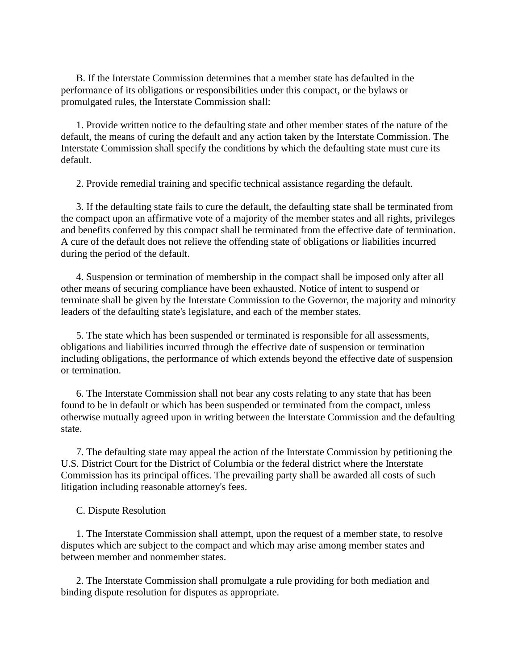B. If the Interstate Commission determines that a member state has defaulted in the performance of its obligations or responsibilities under this compact, or the bylaws or promulgated rules, the Interstate Commission shall:

 1. Provide written notice to the defaulting state and other member states of the nature of the default, the means of curing the default and any action taken by the Interstate Commission. The Interstate Commission shall specify the conditions by which the defaulting state must cure its default.

2. Provide remedial training and specific technical assistance regarding the default.

 3. If the defaulting state fails to cure the default, the defaulting state shall be terminated from the compact upon an affirmative vote of a majority of the member states and all rights, privileges and benefits conferred by this compact shall be terminated from the effective date of termination. A cure of the default does not relieve the offending state of obligations or liabilities incurred during the period of the default.

 4. Suspension or termination of membership in the compact shall be imposed only after all other means of securing compliance have been exhausted. Notice of intent to suspend or terminate shall be given by the Interstate Commission to the Governor, the majority and minority leaders of the defaulting state's legislature, and each of the member states.

 5. The state which has been suspended or terminated is responsible for all assessments, obligations and liabilities incurred through the effective date of suspension or termination including obligations, the performance of which extends beyond the effective date of suspension or termination.

 6. The Interstate Commission shall not bear any costs relating to any state that has been found to be in default or which has been suspended or terminated from the compact, unless otherwise mutually agreed upon in writing between the Interstate Commission and the defaulting state.

 7. The defaulting state may appeal the action of the Interstate Commission by petitioning the U.S. District Court for the District of Columbia or the federal district where the Interstate Commission has its principal offices. The prevailing party shall be awarded all costs of such litigation including reasonable attorney's fees.

### C. Dispute Resolution

 1. The Interstate Commission shall attempt, upon the request of a member state, to resolve disputes which are subject to the compact and which may arise among member states and between member and nonmember states.

 2. The Interstate Commission shall promulgate a rule providing for both mediation and binding dispute resolution for disputes as appropriate.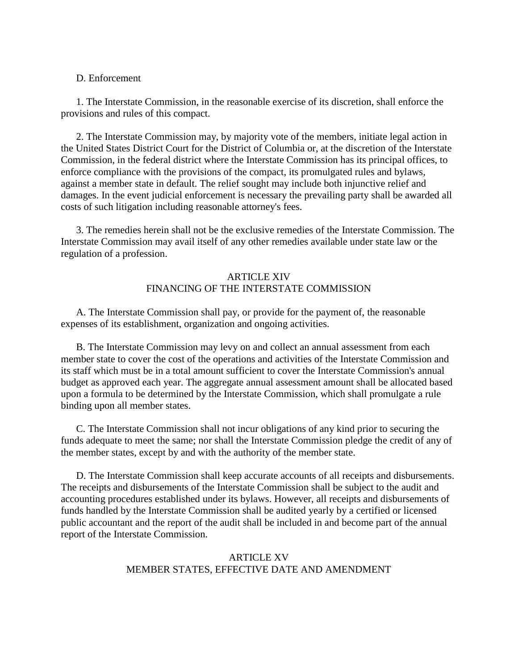### D. Enforcement

 1. The Interstate Commission, in the reasonable exercise of its discretion, shall enforce the provisions and rules of this compact.

 2. The Interstate Commission may, by majority vote of the members, initiate legal action in the United States District Court for the District of Columbia or, at the discretion of the Interstate Commission, in the federal district where the Interstate Commission has its principal offices, to enforce compliance with the provisions of the compact, its promulgated rules and bylaws, against a member state in default. The relief sought may include both injunctive relief and damages. In the event judicial enforcement is necessary the prevailing party shall be awarded all costs of such litigation including reasonable attorney's fees.

 3. The remedies herein shall not be the exclusive remedies of the Interstate Commission. The Interstate Commission may avail itself of any other remedies available under state law or the regulation of a profession.

# ARTICLE XIV FINANCING OF THE INTERSTATE COMMISSION

 A. The Interstate Commission shall pay, or provide for the payment of, the reasonable expenses of its establishment, organization and ongoing activities.

 B. The Interstate Commission may levy on and collect an annual assessment from each member state to cover the cost of the operations and activities of the Interstate Commission and its staff which must be in a total amount sufficient to cover the Interstate Commission's annual budget as approved each year. The aggregate annual assessment amount shall be allocated based upon a formula to be determined by the Interstate Commission, which shall promulgate a rule binding upon all member states.

 C. The Interstate Commission shall not incur obligations of any kind prior to securing the funds adequate to meet the same; nor shall the Interstate Commission pledge the credit of any of the member states, except by and with the authority of the member state.

 D. The Interstate Commission shall keep accurate accounts of all receipts and disbursements. The receipts and disbursements of the Interstate Commission shall be subject to the audit and accounting procedures established under its bylaws. However, all receipts and disbursements of funds handled by the Interstate Commission shall be audited yearly by a certified or licensed public accountant and the report of the audit shall be included in and become part of the annual report of the Interstate Commission.

# ARTICLE XV MEMBER STATES, EFFECTIVE DATE AND AMENDMENT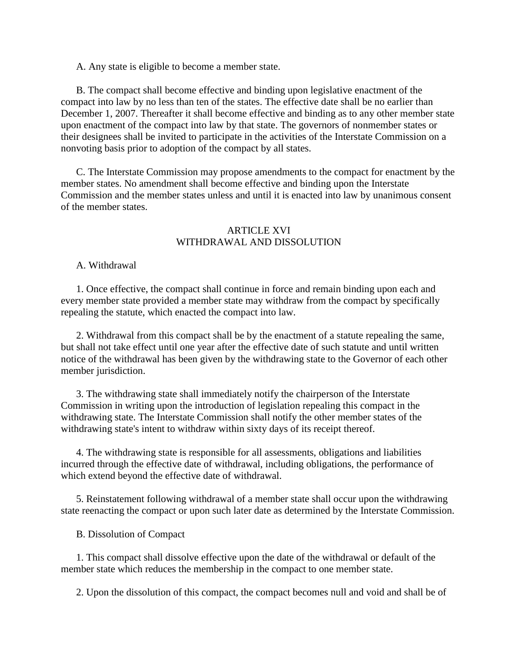A. Any state is eligible to become a member state.

 B. The compact shall become effective and binding upon legislative enactment of the compact into law by no less than ten of the states. The effective date shall be no earlier than December 1, 2007. Thereafter it shall become effective and binding as to any other member state upon enactment of the compact into law by that state. The governors of nonmember states or their designees shall be invited to participate in the activities of the Interstate Commission on a nonvoting basis prior to adoption of the compact by all states.

 C. The Interstate Commission may propose amendments to the compact for enactment by the member states. No amendment shall become effective and binding upon the Interstate Commission and the member states unless and until it is enacted into law by unanimous consent of the member states.

# **ARTICLE XVI** WITHDRAWAL AND DISSOLUTION

#### A. Withdrawal

 1. Once effective, the compact shall continue in force and remain binding upon each and every member state provided a member state may withdraw from the compact by specifically repealing the statute, which enacted the compact into law.

 2. Withdrawal from this compact shall be by the enactment of a statute repealing the same, but shall not take effect until one year after the effective date of such statute and until written notice of the withdrawal has been given by the withdrawing state to the Governor of each other member jurisdiction.

 3. The withdrawing state shall immediately notify the chairperson of the Interstate Commission in writing upon the introduction of legislation repealing this compact in the withdrawing state. The Interstate Commission shall notify the other member states of the withdrawing state's intent to withdraw within sixty days of its receipt thereof.

 4. The withdrawing state is responsible for all assessments, obligations and liabilities incurred through the effective date of withdrawal, including obligations, the performance of which extend beyond the effective date of withdrawal.

 5. Reinstatement following withdrawal of a member state shall occur upon the withdrawing state reenacting the compact or upon such later date as determined by the Interstate Commission.

B. Dissolution of Compact

 1. This compact shall dissolve effective upon the date of the withdrawal or default of the member state which reduces the membership in the compact to one member state.

2. Upon the dissolution of this compact, the compact becomes null and void and shall be of